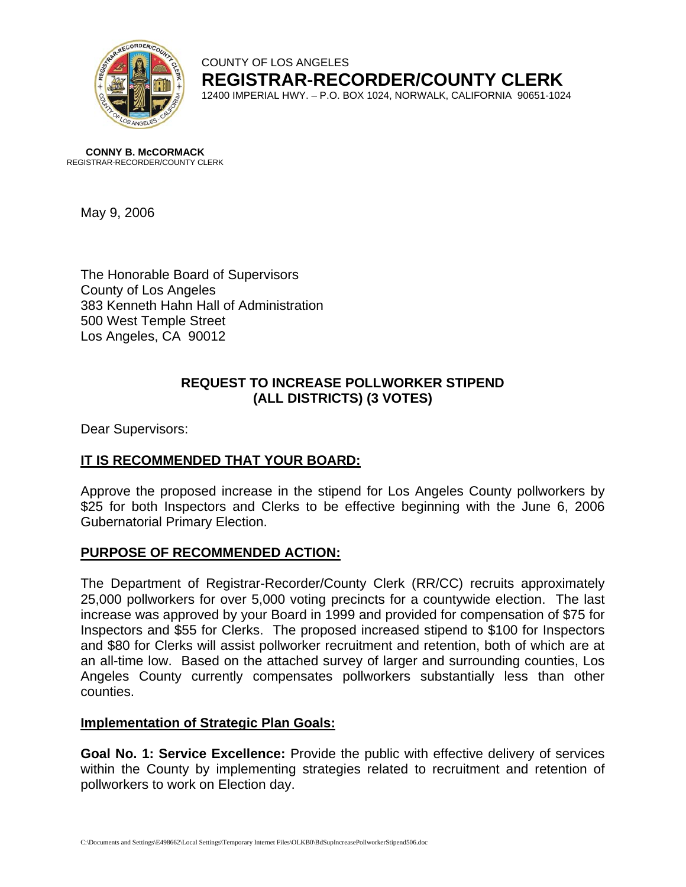

#### COUNTY OF LOS ANGELES **REGISTRAR-RECORDER/COUNTY CLERK** 12400 IMPERIAL HWY. – P.O. BOX 1024, NORWALK, CALIFORNIA 90651-1024

**CONNY B. McCORMACK** REGISTRAR-RECORDER/COUNTY CLERK

May 9, 2006

The Honorable Board of Supervisors County of Los Angeles 383 Kenneth Hahn Hall of Administration 500 West Temple Street Los Angeles, CA 90012

# **REQUEST TO INCREASE POLLWORKER STIPEND (ALL DISTRICTS) (3 VOTES)**

Dear Supervisors:

# **IT IS RECOMMENDED THAT YOUR BOARD:**

Approve the proposed increase in the stipend for Los Angeles County pollworkers by \$25 for both Inspectors and Clerks to be effective beginning with the June 6, 2006 Gubernatorial Primary Election.

# **PURPOSE OF RECOMMENDED ACTION:**

The Department of Registrar-Recorder/County Clerk (RR/CC) recruits approximately 25,000 pollworkers for over 5,000 voting precincts for a countywide election. The last increase was approved by your Board in 1999 and provided for compensation of \$75 for Inspectors and \$55 for Clerks. The proposed increased stipend to \$100 for Inspectors and \$80 for Clerks will assist pollworker recruitment and retention, both of which are at an all-time low. Based on the attached survey of larger and surrounding counties, Los Angeles County currently compensates pollworkers substantially less than other counties.

# **Implementation of Strategic Plan Goals:**

**Goal No. 1: Service Excellence:** Provide the public with effective delivery of services within the County by implementing strategies related to recruitment and retention of pollworkers to work on Election day.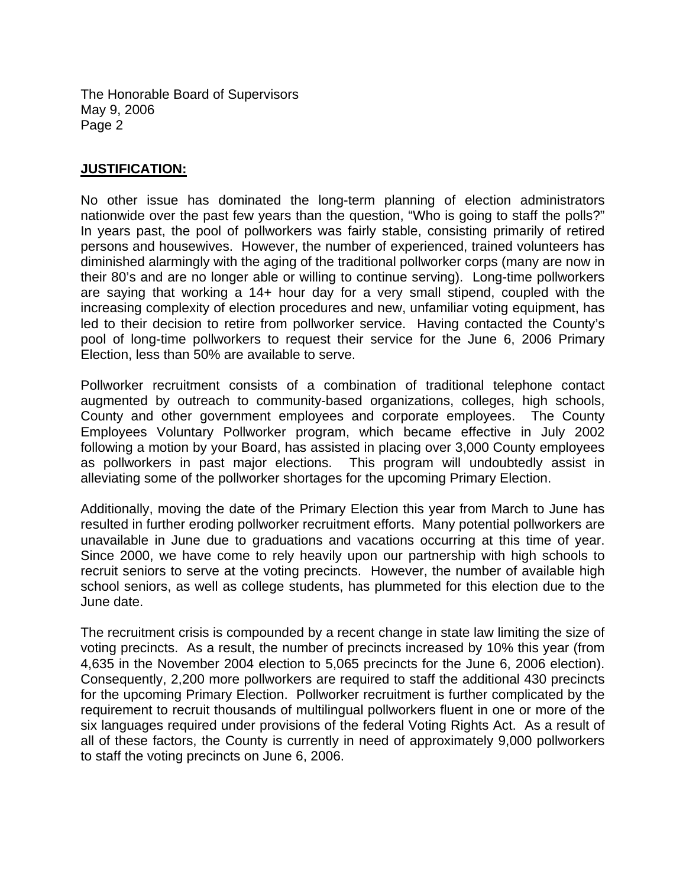The Honorable Board of Supervisors May 9, 2006 Page 2

#### **JUSTIFICATION:**

No other issue has dominated the long-term planning of election administrators nationwide over the past few years than the question, "Who is going to staff the polls?" In years past, the pool of pollworkers was fairly stable, consisting primarily of retired persons and housewives. However, the number of experienced, trained volunteers has diminished alarmingly with the aging of the traditional pollworker corps (many are now in their 80's and are no longer able or willing to continue serving). Long-time pollworkers are saying that working a 14+ hour day for a very small stipend, coupled with the increasing complexity of election procedures and new, unfamiliar voting equipment, has led to their decision to retire from pollworker service. Having contacted the County's pool of long-time pollworkers to request their service for the June 6, 2006 Primary Election, less than 50% are available to serve.

Pollworker recruitment consists of a combination of traditional telephone contact augmented by outreach to community-based organizations, colleges, high schools, County and other government employees and corporate employees. The County Employees Voluntary Pollworker program, which became effective in July 2002 following a motion by your Board, has assisted in placing over 3,000 County employees as pollworkers in past major elections. This program will undoubtedly assist in alleviating some of the pollworker shortages for the upcoming Primary Election.

Additionally, moving the date of the Primary Election this year from March to June has resulted in further eroding pollworker recruitment efforts. Many potential pollworkers are unavailable in June due to graduations and vacations occurring at this time of year. Since 2000, we have come to rely heavily upon our partnership with high schools to recruit seniors to serve at the voting precincts. However, the number of available high school seniors, as well as college students, has plummeted for this election due to the June date.

The recruitment crisis is compounded by a recent change in state law limiting the size of voting precincts. As a result, the number of precincts increased by 10% this year (from 4,635 in the November 2004 election to 5,065 precincts for the June 6, 2006 election). Consequently, 2,200 more pollworkers are required to staff the additional 430 precincts for the upcoming Primary Election. Pollworker recruitment is further complicated by the requirement to recruit thousands of multilingual pollworkers fluent in one or more of the six languages required under provisions of the federal Voting Rights Act. As a result of all of these factors, the County is currently in need of approximately 9,000 pollworkers to staff the voting precincts on June 6, 2006.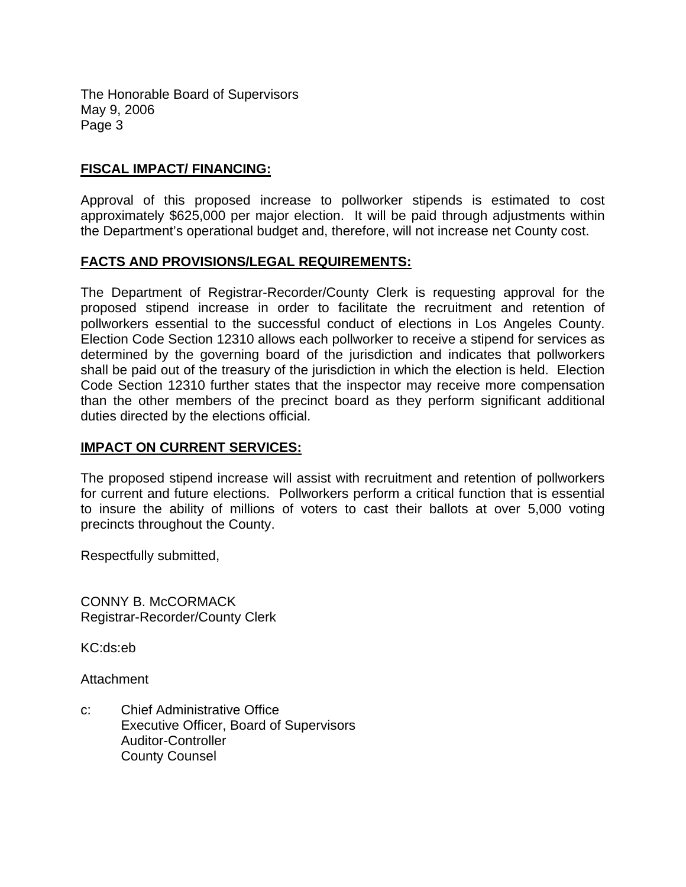The Honorable Board of Supervisors May 9, 2006 Page 3

### **FISCAL IMPACT/ FINANCING:**

Approval of this proposed increase to pollworker stipends is estimated to cost approximately \$625,000 per major election. It will be paid through adjustments within the Department's operational budget and, therefore, will not increase net County cost.

#### **FACTS AND PROVISIONS/LEGAL REQUIREMENTS:**

The Department of Registrar-Recorder/County Clerk is requesting approval for the proposed stipend increase in order to facilitate the recruitment and retention of pollworkers essential to the successful conduct of elections in Los Angeles County. Election Code Section 12310 allows each pollworker to receive a stipend for services as determined by the governing board of the jurisdiction and indicates that pollworkers shall be paid out of the treasury of the jurisdiction in which the election is held. Election Code Section 12310 further states that the inspector may receive more compensation than the other members of the precinct board as they perform significant additional duties directed by the elections official.

#### **IMPACT ON CURRENT SERVICES:**

The proposed stipend increase will assist with recruitment and retention of pollworkers for current and future elections. Pollworkers perform a critical function that is essential to insure the ability of millions of voters to cast their ballots at over 5,000 voting precincts throughout the County.

Respectfully submitted,

CONNY B. McCORMACK Registrar-Recorder/County Clerk

KC:ds:eb

**Attachment** 

c: Chief Administrative Office Executive Officer, Board of Supervisors Auditor-Controller County Counsel